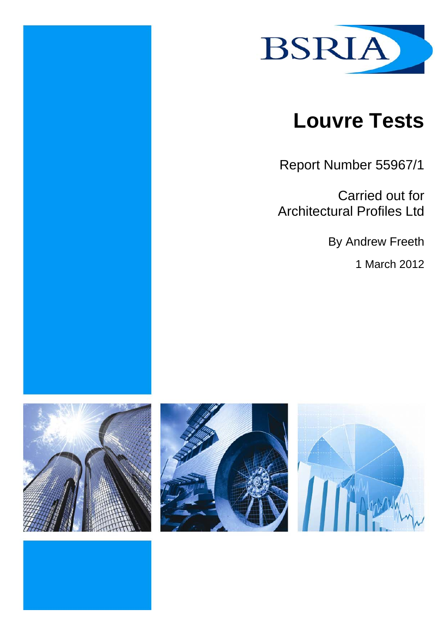

# **Louvre Tests**

Report Number 55967/1

Carried out for Architectural Profiles Ltd

By Andrew Freeth

1 March 2012





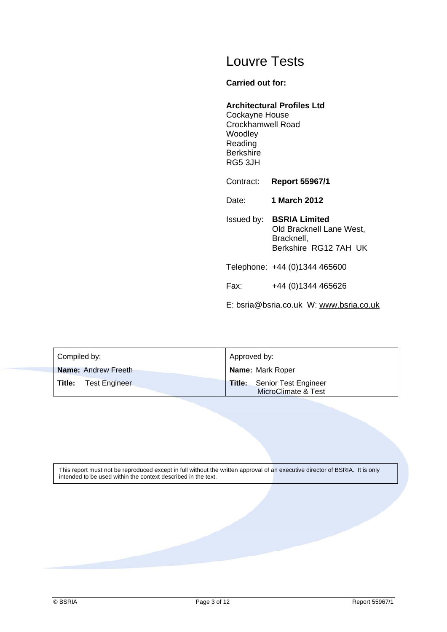# Louvre Tests

#### **Carried out for:**

#### **Architectural Profiles Ltd**

Cockayne House Crockhamwell Road Woodley Reading **Berkshire** RG5 3JH

Contract: **Report 55967/1**

Date: **1 March 2012**

Issued by: **BSRIA Limited** Old Bracknell Lane West, Bracknell, Berkshire RG12 7AH UK

Telephone: +44 (0)1344 465600

Fax: +44 (0)1344 465626

E: bsria@bsria.co.uk W: www.bsria.co.uk

| Compiled by:                | Approved by:                                              |  |  |
|-----------------------------|-----------------------------------------------------------|--|--|
| <b>Name: Andrew Freeth</b>  | <b>Name: Mark Roper</b>                                   |  |  |
| <b>Title:</b> Test Engineer | <b>Title:</b> Senior Test Engineer<br>MicroClimate & Test |  |  |

This report must not be reproduced except in full without the written approval of an executive director of BSRIA. It is only intended to be used within the context described in the text.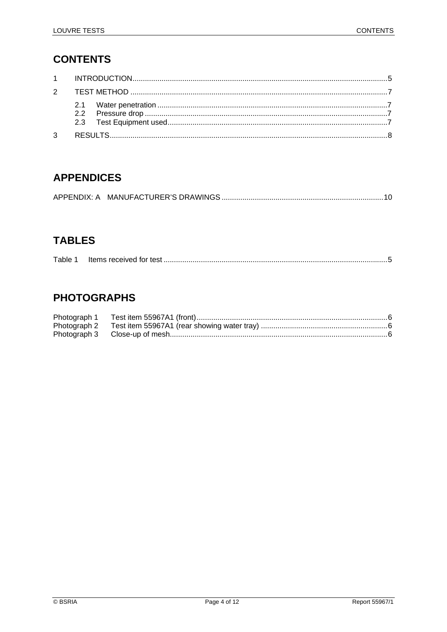# **CONTENTS**

| 3 |  |
|---|--|

# **APPENDICES**

# **TABLES**

| Table 1 |  |  |
|---------|--|--|
|---------|--|--|

# **PHOTOGRAPHS**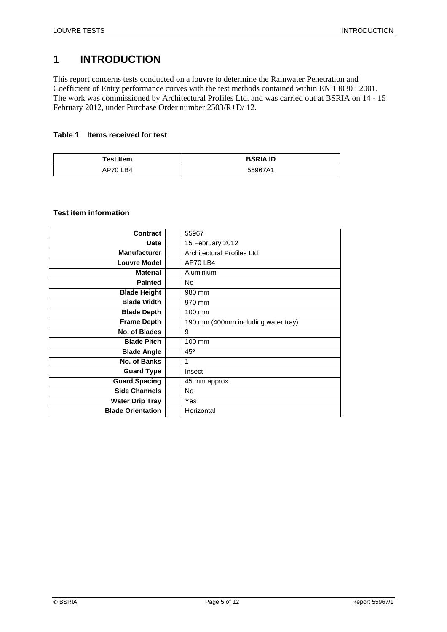# **1 INTRODUCTION**

This report concerns tests conducted on a louvre to determine the Rainwater Penetration and Coefficient of Entry performance curves with the test methods contained within EN 13030 : 2001. The work was commissioned by Architectural Profiles Ltd. and was carried out at BSRIA on 14 - 15 February 2012, under Purchase Order number 2503/R+D/ 12.

#### **Table 1 Items received for test**

| <b>Test Item</b> | <b>BSRIA ID</b> |
|------------------|-----------------|
| AP70 LB4         | 55967A1         |

#### **Test item information**

| <b>Contract</b>          | 55967                               |
|--------------------------|-------------------------------------|
| <b>Date</b>              | 15 February 2012                    |
| <b>Manufacturer</b>      | <b>Architectural Profiles Ltd</b>   |
| <b>Louvre Model</b>      | AP70 LB4                            |
| <b>Material</b>          | Aluminium                           |
| <b>Painted</b>           | No.                                 |
| <b>Blade Height</b>      | 980 mm                              |
| <b>Blade Width</b>       | 970 mm                              |
| <b>Blade Depth</b>       | 100 mm                              |
| <b>Frame Depth</b>       | 190 mm (400mm including water tray) |
| No. of Blades            | 9                                   |
| <b>Blade Pitch</b>       | 100 mm                              |
| <b>Blade Angle</b>       | $45^{\circ}$                        |
| No. of Banks             | 1                                   |
| <b>Guard Type</b>        | Insect                              |
| <b>Guard Spacing</b>     | 45 mm approx                        |
| <b>Side Channels</b>     | No                                  |
| <b>Water Drip Tray</b>   | Yes                                 |
| <b>Blade Orientation</b> | Horizontal                          |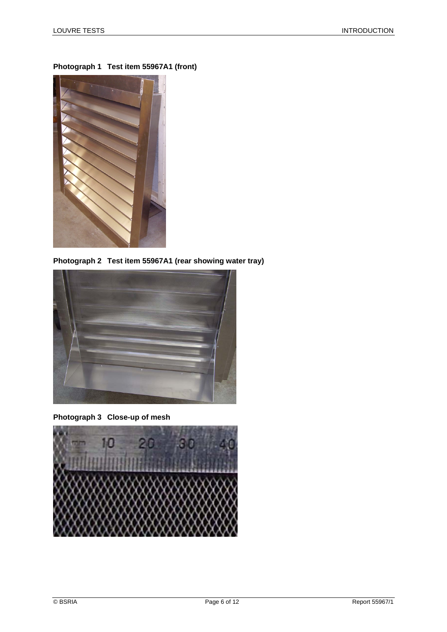

**Photograph 1 Test item 55967A1 (front)** 

**Photograph 2 Test item 55967A1 (rear showing water tray)** 



**Photograph 3 Close-up of mesh** 

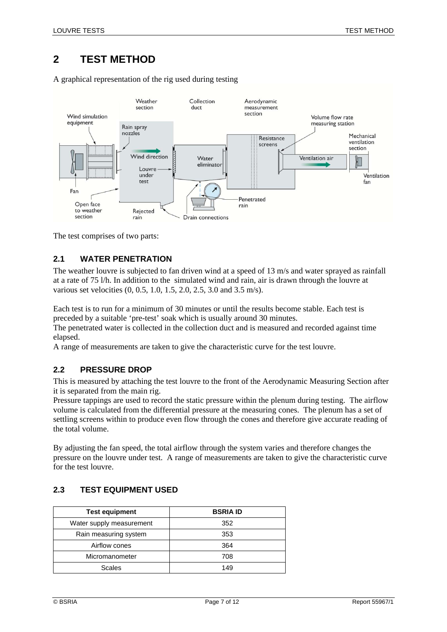# **2 TEST METHOD**

A graphical representation of the rig used during testing



The test comprises of two parts:

#### **2.1 WATER PENETRATION**

The weather louvre is subjected to fan driven wind at a speed of 13 m/s and water sprayed as rainfall at a rate of 75 l/h. In addition to the simulated wind and rain, air is drawn through the louvre at various set velocities (0, 0.5, 1.0, 1.5, 2.0, 2.5, 3.0 and 3.5 m/s).

Each test is to run for a minimum of 30 minutes or until the results become stable. Each test is preceded by a suitable 'pre-test' soak which is usually around 30 minutes.

The penetrated water is collected in the collection duct and is measured and recorded against time elapsed.

A range of measurements are taken to give the characteristic curve for the test louvre.

#### **2.2 PRESSURE DROP**

This is measured by attaching the test louvre to the front of the Aerodynamic Measuring Section after it is separated from the main rig.

Pressure tappings are used to record the static pressure within the plenum during testing. The airflow volume is calculated from the differential pressure at the measuring cones. The plenum has a set of settling screens within to produce even flow through the cones and therefore give accurate reading of the total volume.

By adjusting the fan speed, the total airflow through the system varies and therefore changes the pressure on the louvre under test. A range of measurements are taken to give the characteristic curve for the test louvre.

#### **2.3 TEST EQUIPMENT USED**

| <b>Test equipment</b>    | <b>BSRIA ID</b> |
|--------------------------|-----------------|
| Water supply measurement | 352             |
| Rain measuring system    | 353             |
| Airflow cones            | 364             |
| Micromanometer           | 708             |
| <b>Scales</b>            | 149             |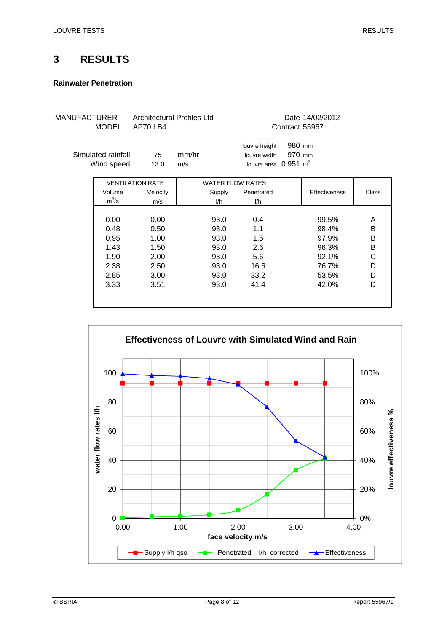### **3 RESULTS**

#### **Rainwater Penetration**

| MANUFACTURER | <b>MODEL</b>                     | Architectural Profiles Ltd<br>AP70 LB4 |              |                         |                                                                  |                  | Date 14/02/2012<br>Contract 55967 |        |
|--------------|----------------------------------|----------------------------------------|--------------|-------------------------|------------------------------------------------------------------|------------------|-----------------------------------|--------|
|              | Simulated rainfall<br>Wind speed | 75<br>13.0                             | mm/hr<br>m/s |                         | louvre height<br>louvre width<br>louvre area $0.951 \text{ m}^2$ | 980 mm<br>970 mm |                                   |        |
|              |                                  | <b>VENTILATION RATE</b>                |              | <b>WATER FLOW RATES</b> |                                                                  |                  |                                   |        |
|              | Volume<br>$m^3/s$                | Velocity<br>m/s                        |              | Supply<br>l/h           | Penetrated<br>l/h                                                |                  | <b>Effectiveness</b>              | Class  |
|              |                                  |                                        |              |                         |                                                                  |                  |                                   |        |
|              | 0.00<br>0.48                     | 0.00<br>0.50                           |              | 93.0<br>93.0            | 0.4<br>1.1                                                       |                  | 99.5%<br>98.4%                    | A<br>B |
|              | 0.95                             | 1.00                                   |              | 93.0                    | 1.5                                                              |                  | 97.9%                             | B      |
|              | 1.43                             | 1.50                                   |              | 93.0                    | 2.6                                                              |                  | 96.3%                             | B      |
|              | 1.90<br>2.38                     | 2.00<br>2.50                           |              | 93.0<br>93.0            | 5.6<br>16.6                                                      |                  | 92.1%<br>76.7%                    | C<br>D |
|              | 2.85                             | 3.00                                   |              | 93.0                    | 33.2                                                             |                  | 53.5%                             | D      |
|              | 3.33                             | 3.51                                   |              | 93.0                    | 41.4                                                             |                  | 42.0%                             | D      |
|              |                                  |                                        |              |                         |                                                                  |                  |                                   |        |

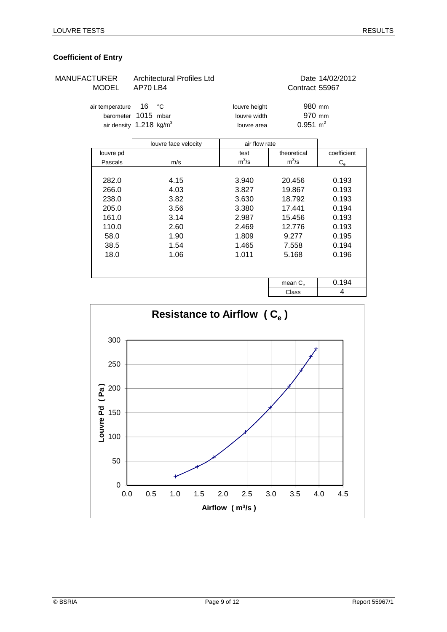#### **Coefficient of Entry**

| MANUFACTURER<br><b>MODEL</b> |                                                                            | <b>Architectural Profiles Ltd</b><br>AP70 LB4                        |                                                                               | Date 14/02/2012<br>Contract 55967                                                   |                                                                               |  |
|------------------------------|----------------------------------------------------------------------------|----------------------------------------------------------------------|-------------------------------------------------------------------------------|-------------------------------------------------------------------------------------|-------------------------------------------------------------------------------|--|
|                              | air temperature<br>barometer                                               | 16<br>°C<br>1015 mbar<br>air density 1.218 kg/m <sup>3</sup>         | louvre height<br>louvre width<br>louvre area                                  | 980 mm<br>970 mm<br>$0.951 \text{ m}^2$                                             |                                                                               |  |
|                              |                                                                            | louvre face velocity                                                 | air flow rate                                                                 |                                                                                     |                                                                               |  |
|                              | louvre pd                                                                  |                                                                      | test                                                                          | theoretical                                                                         | coefficient                                                                   |  |
|                              | Pascals                                                                    | m/s                                                                  | $m^3/s$                                                                       | $m^3/s$                                                                             | $\mathrm{C_{e}}$                                                              |  |
|                              | 282.0<br>266.0<br>238.0<br>205.0<br>161.0<br>110.0<br>58.0<br>38.5<br>18.0 | 4.15<br>4.03<br>3.82<br>3.56<br>3.14<br>2.60<br>1.90<br>1.54<br>1.06 | 3.940<br>3.827<br>3.630<br>3.380<br>2.987<br>2.469<br>1.809<br>1.465<br>1.011 | 20.456<br>19.867<br>18.792<br>17.441<br>15.456<br>12.776<br>9.277<br>7.558<br>5.168 | 0.193<br>0.193<br>0.193<br>0.194<br>0.193<br>0.193<br>0.195<br>0.194<br>0.196 |  |
|                              |                                                                            |                                                                      |                                                                               | mean $C_{e}$                                                                        | 0.194                                                                         |  |
|                              |                                                                            |                                                                      |                                                                               | $\sim$                                                                              | $\overline{A}$                                                                |  |

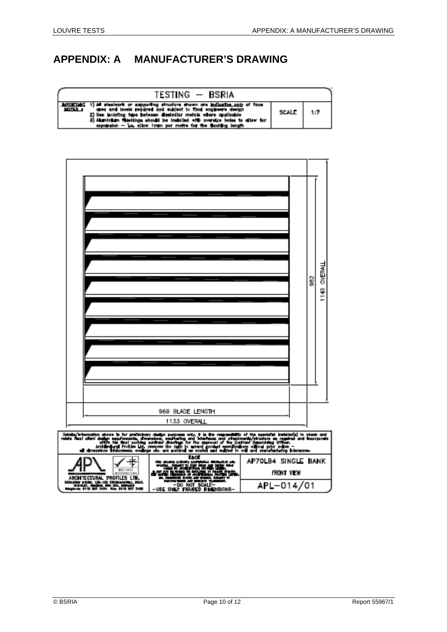# **APPENDIX: A MANUFACTURER'S DRAWING**



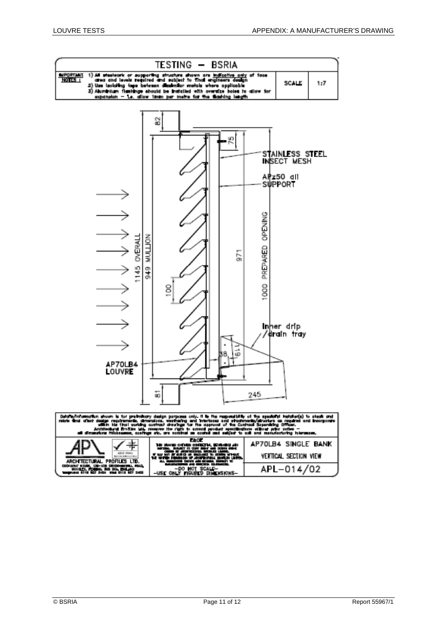